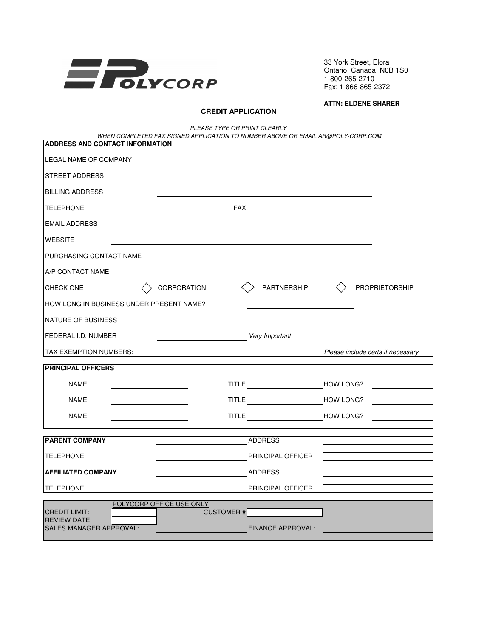

33 York Street, Elora Ontario, Canada N0B 1S0 1-800-265-2710 Fax: 1-866-865-2372

## **ATTN: ELDENE SHARER**

## **CREDIT APPLICATION**

PLEASE TYPE OR PRINT CLEARLY

| WHEN COMPLETED FAX SIGNED APPLICATION TO NUMBER ABOVE OR EMAIL AR@POLY-CORP.COM<br>ADDRESS AND CONTACT INFORMATION |                                              |                                   |  |
|--------------------------------------------------------------------------------------------------------------------|----------------------------------------------|-----------------------------------|--|
|                                                                                                                    |                                              |                                   |  |
| LEGAL NAME OF COMPANY                                                                                              |                                              |                                   |  |
| <b>STREET ADDRESS</b>                                                                                              |                                              |                                   |  |
| <b>BILLING ADDRESS</b>                                                                                             |                                              |                                   |  |
| <b>TELEPHONE</b>                                                                                                   |                                              |                                   |  |
| <b>EMAIL ADDRESS</b>                                                                                               |                                              |                                   |  |
| <b>WEBSITE</b>                                                                                                     |                                              |                                   |  |
| PURCHASING CONTACT NAME                                                                                            |                                              |                                   |  |
| A/P CONTACT NAME                                                                                                   |                                              |                                   |  |
| <b>CHECK ONE</b>                                                                                                   | PARTNERSHIP<br><b>CORPORATION</b>            | <b>PROPRIETORSHIP</b>             |  |
| HOW LONG IN BUSINESS UNDER PRESENT NAME?                                                                           |                                              |                                   |  |
| NATURE OF BUSINESS                                                                                                 |                                              |                                   |  |
| FEDERAL I.D. NUMBER                                                                                                | Very Important                               |                                   |  |
| TAX EXEMPTION NUMBERS:                                                                                             |                                              | Please include certs if necessary |  |
| <b>PRINCIPAL OFFICERS</b>                                                                                          |                                              |                                   |  |
| <b>NAME</b>                                                                                                        | TITLE HOW LONG?                              |                                   |  |
| <b>NAME</b>                                                                                                        |                                              |                                   |  |
| <b>NAME</b>                                                                                                        | TITLE HOW LONG?                              |                                   |  |
| <b>PARENT COMPANY</b>                                                                                              | <b>ADDRESS</b>                               |                                   |  |
| <b>TELEPHONE</b>                                                                                                   | <b>PRINCIPAL OFFICER</b>                     |                                   |  |
| <b>AFFILIATED COMPANY</b>                                                                                          | <b>ADDRESS</b>                               |                                   |  |
| <b>TELEPHONE</b>                                                                                                   | PRINCIPAL OFFICER                            |                                   |  |
| POLYCORP OFFICE USE ONLY                                                                                           |                                              |                                   |  |
| <b>CREDIT LIMIT:</b><br><b>REVIEW DATE:</b><br><b>SALES MANAGER APPROVAL:</b>                                      | <b>CUSTOMER#</b><br><b>FINANCE APPROVAL:</b> |                                   |  |